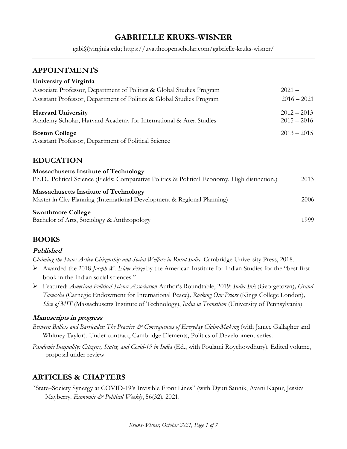# **GABRIELLE KRUKS-WISNER**

gabi@virginia.edu; https://uva.theopenscholar.com/gabrielle-kruks-wisner/

### **APPOINTMENTS**

| University of Virginia                                                                         |               |
|------------------------------------------------------------------------------------------------|---------------|
| Associate Professor, Department of Politics & Global Studies Program                           | $2021 -$      |
| Assistant Professor, Department of Politics & Global Studies Program                           | $2016 - 2021$ |
| <b>Harvard University</b>                                                                      | $2012 - 2013$ |
| Academy Scholar, Harvard Academy for International & Area Studies                              | $2015 - 2016$ |
| <b>Boston College</b>                                                                          | $2013 - 2015$ |
| Assistant Professor, Department of Political Science                                           |               |
|                                                                                                |               |
| <b>EDUCATION</b>                                                                               |               |
| <b>Massachusetts Institute of Technology</b>                                                   |               |
| Ph.D., Political Science (Fields: Comparative Politics & Political Economy. High distinction.) | 2013          |
| <b>Massachusetts Institute of Technology</b>                                                   |               |
| Master in City Planning (International Development & Regional Planning)                        | 2006          |
| <b>Swarthmore College</b>                                                                      |               |
| Bachelor of Arts, Sociology & Anthropology                                                     | 1999          |

### **BOOKS**

#### **Published**

*Claiming the State: Active Citizenship and Social Welfare in Rural India.* Cambridge University Press, 2018.

- ➢ Awarded the 2018 *Joseph W. Elder Prize* by the American Institute for Indian Studies for the "best first book in the Indian social sciences."
- ➢ Featured: *American Political Science Association* Author's Roundtable, 2019; *India Ink* (Georgetown)*, Grand Tamasha* (Carnegie Endowment for International Peace)*, Rocking Our Priors* (Kings College London)*, Slice of MIT* (Massachusetts Institute of Technology), *India in Transition* (University of Pennsylvania).

#### **Manuscripts in progress**

- *Between Ballots and Barricades: The Practice & Consequences of Everyday Claim-Making* (with Janice Gallagher and Whitney Taylor). Under contract, Cambridge Elements, Politics of Development series.
- *Pandemic Inequality: Citizens, States, and Covid-19 in India* (Ed., with Poulami Roychowdhury). Edited volume, proposal under review.

### **ARTICLES & CHAPTERS**

"State–Society Synergy at COVID-19's Invisible Front Lines" (with Dyuti Saunik, Avani Kapur, Jessica Mayberry. *Economic & Political Weekly*, 56(32), 2021.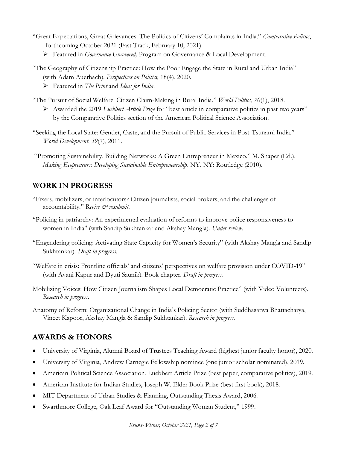- "Great Expectations, Great Grievances: The Politics of Citizens' Complaints in India." *Comparative Politics*, forthcoming October 2021 [\(Fast Track, February 10, 2021\)](https://www.ingentaconnect.com/content/cuny/cp/pre-prints/content-jcpo_54102).
	- ➢ Featured in *Governance Uncovered,* Program on Governance & Local Development.
- "The Geography of Citizenship Practice: How the Poor Engage the State in Rural and Urban India" (with Adam Auerbach). *Perspectives on Politics,* 18(4), 2020.
	- ➢ Featured in *The Print* and *Ideas for India*.
- "The Pursuit of Social Welfare: Citizen Claim-Making in Rural India." *World Politics*, *70*(1), 2018.
	- ➢ Awarded the 2019 *Luebbert Article Prize* for "best article in comparative politics in past two years" by the Comparative Politics section of the American Political Science Association.
- "Seeking the Local State: Gender, Caste, and the Pursuit of Public Services in Post-Tsunami India." *World Development*, *39*(7), 2011.
- "Promoting Sustainability, Building Networks: A Green Entrepreneur in Mexico." M. Shaper (Ed.), *Making Ecopreneurs: Developing Sustainable Entrepreneurship*. NY, NY: Routledge (2010).

## **WORK IN PROGRESS**

- "Fixers, mobilizers, or interlocutors? Citizen journalists, social brokers, and the challenges of accountability." R*evise & resubmit*.
- "Policing in patriarchy: An experimental evaluation of reforms to improve police responsiveness to women in India" (with Sandip Sukhtankar and Akshay Mangla). *Under review*.
- "Engendering policing: Activating State Capacity for Women's Security" (with Akshay Mangla and Sandip Sukhtankar). *Draft in progress.*
- "Welfare in crisis: Frontline officials' and citizens' perspectives on welfare provision under COVID-19" (with Avani Kapur and Dyuti Saunik). Book chapter. *Draft in progress.*
- Mobilizing Voices: How Citizen Journalism Shapes Local Democratic Practice" (with Video Volunteers). *Research in progress.*
- Anatomy of Reform: Organizational Change in India's Policing Sector (with Suddhasatwa Bhattacharya, Vineet Kapoor, Akshay Mangla & Sandip Sukhtankar). *Research in progress.*

# **AWARDS & HONORS**

- University of Virginia, Alumni Board of Trustees Teaching Award (highest junior faculty honor), 2020.
- University of Virginia, Andrew Carnegie Fellowship nominee (one junior scholar nominated), 2019.
- American Political Science Association, Luebbert Article Prize (best paper, comparative politics), 2019.
- American Institute for Indian Studies, Joseph W. Elder Book Prize (best first book)*,* 2018.
- MIT Department of Urban Studies & Planning, Outstanding Thesis Award, 2006.
- Swarthmore College, Oak Leaf Award for "Outstanding Woman Student," 1999.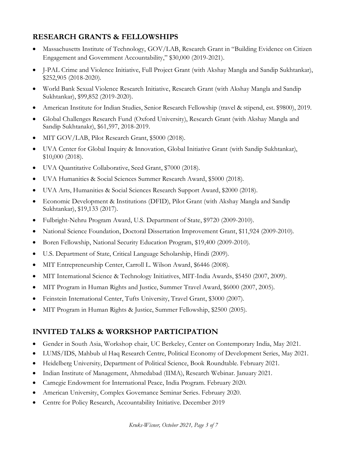## **RESEARCH GRANTS & FELLOWSHIPS**

- Massachusetts Institute of Technology, GOV/LAB, Research Grant in "Building Evidence on Citizen Engagement and Government Accountability," \$30,000 (2019-2021).
- J-PAL Crime and Violence Initiative, Full Project Grant (with Akshay Mangla and Sandip Sukhtankar), \$252,905 (2018-2020).
- World Bank Sexual Violence Research Initiative, Research Grant (with Akshay Mangla and Sandip Sukhtankar), \$99,852 (2019-2020).
- American Institute for Indian Studies, Senior Research Fellowship (travel & stipend, est. \$9800), 2019.
- Global Challenges Research Fund (Oxford University), Research Grant (with Akshay Mangla and Sandip Sukhtanakr), \$61,597, 2018-2019.
- MIT GOV/LAB, Pilot Research Grant, \$5000 (2018).
- UVA Center for Global Inquiry & Innovation, Global Initiative Grant (with Sandip Sukhtankar), \$10,000 (2018).
- UVA Quantitative Collaborative, Seed Grant, \$7000 (2018).
- UVA Humanities & Social Sciences Summer Research Award, \$5000 (2018).
- UVA Arts, Humanities & Social Sciences Research Support Award, \$2000 (2018).
- Economic Development & Institutions (DFID), Pilot Grant (with Akshay Mangla and Sandip Sukhtankar), \$19,133 (2017).
- Fulbright-Nehru Program Award, U.S. Department of State, \$9720 (2009-2010).
- National Science Foundation, Doctoral Dissertation Improvement Grant, \$11,924 (2009-2010).
- Boren Fellowship, National Security Education Program, \$19,400 (2009-2010).
- U.S. Department of State, Critical Language Scholarship, Hindi (2009).
- MIT Entrepreneurship Center, Carroll L. Wilson Award, \$6446 (2008).
- MIT International Science & Technology Initiatives, MIT-India Awards, \$5450 (2007, 2009).
- MIT Program in Human Rights and Justice, Summer Travel Award, \$6000 (2007, 2005).
- Feinstein International Center, Tufts University, Travel Grant, \$3000 (2007).
- MIT Program in Human Rights & Justice, Summer Fellowship, \$2500 (2005).

# **INVITED TALKS & WORKSHOP PARTICIPATION**

- Gender in South Asia, Workshop chair, UC Berkeley, Center on Contemporary India, May 2021.
- LUMS/IDS, Mahbub ul Haq Research Centre, Political Economy of Development Series, May 2021.
- Heidelberg University, Department of Political Science, Book Roundtable. February 2021.
- Indian Institute of Management, Ahmedabad (IIMA), Research Webinar. January 2021.
- Carnegie Endowment for International Peace, India Program. February 2020.
- American University, Complex Governance Seminar Series. February 2020.
- Centre for Policy Research, Accountability Initiative. December 2019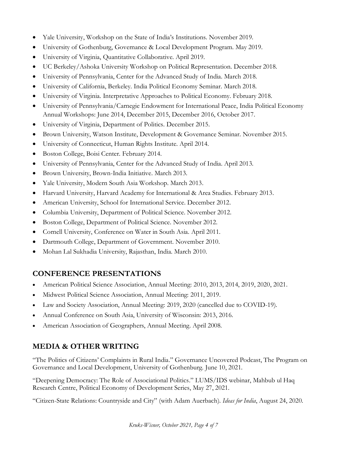- Yale University, Workshop on the State of India's Institutions. November 2019.
- University of Gothenburg, Governance & Local Development Program. May 2019.
- University of Virginia, Quantitative Collaborative. April 2019.
- UC Berkeley/Ashoka University Workshop on Political Representation. December 2018.
- University of Pennsylvania, Center for the Advanced Study of India. March 2018.
- University of California, Berkeley. India Political Economy Seminar. March 2018.
- University of Virginia. Interpretative Approaches to Political Economy. February 2018.
- University of Pennsylvania/Carnegie Endowment for International Peace, India Political Economy Annual Workshops: June 2014, December 2015, December 2016, October 2017.
- University of Virginia, Department of Politics. December 2015.
- Brown University, Watson Institute, Development & Governance Seminar. November 2015.
- University of Connecticut, Human Rights Institute. April 2014.
- Boston College, Boisi Center. February 2014.
- University of Pennsylvania, Center for the Advanced Study of India. April 2013.
- Brown University, Brown-India Initiative. March 2013.
- Yale University, Modern South Asia Workshop. March 2013.
- Harvard University, Harvard Academy for International & Area Studies. February 2013.
- American University, School for International Service. December 2012.
- Columbia University, Department of Political Science. November 2012.
- Boston College, Department of Political Science. November 2012.
- Cornell University, Conference on Water in South Asia. April 2011.
- Dartmouth College, Department of Government. November 2010.
- Mohan Lal Sukhadia University, Rajasthan, India. March 2010.

# **CONFERENCE PRESENTATIONS**

- American Political Science Association, Annual Meeting: 2010, 2013, 2014, 2019, 2020, 2021.
- Midwest Political Science Association, Annual Meeting: 2011, 2019.
- Law and Society Association, Annual Meeting: 2019, 2020 (cancelled due to COVID-19).
- Annual Conference on South Asia, University of Wisconsin: 2013, 2016.
- American Association of Geographers, Annual Meeting. April 2008.

# **MEDIA & OTHER WRITING**

["The Politics of Citizens' Complaints in Rural India.](https://soundcloud.com/gldresearch/gabrielle-india)" Governance Uncovered Podcast, The Program on Governance and Local Development, University of Gothenburg. June 10, 2021.

"[Deepening Democracy: The Role of Associational Politics](https://www.facebook.com/watch/live/?v=210580810741841&ref=watch_permalink)." LUMS/IDS webinar, Mahbub ul Haq Research Centre, Political Economy of Development Series, May 27, 2021.

"Citizen-State Relations: Countryside and City" (with Adam Auerbach). *Ideas for India*, August 24, 2020.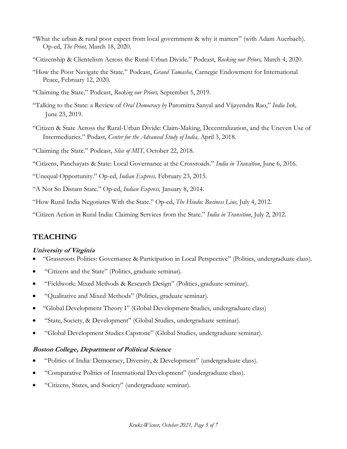- "What the urban & rural poor expect from local government & why it matters" (with Adam Auerbach). Op-ed, *The Print,* March 18, 2020.
- "Citizenship & Clientelism Across the Rural-Urban Divide." Podcast, *Rocking our Priors,* March 4, 2020.
- "How the Poor Navigate the State." Podcast, *Grand Tamasha*, Carnegie Endowment for International Peace, February 12, 2020.
- "Claiming the State." Podcast, *Rocking our Priors,* September 5, 2019.
- "Talking to the State: a Review of *Oral Democracy by* Paromitra Sanyal and Vijayendra Rao," *India Ink,*  June 23, 2019.
- "Citizen & State Across the Rural-Urban Divide: Claim-Making, Decentralization, and the Uneven Use of Intermediaries." Podast, *Center for the Advanced Study of India,* April 3, 2018.
- "Claiming the State." Podcast, *Slice of MIT,* October 22, 2018.

"Citizens, Panchayats & State: Local Governance at the Crossroads." *India in Transition*, June 6, 2016.

"Unequal Opportunity." Op-ed, *Indian Express,* February 23, 2015.

"A Not So Distant State." Op-ed, *Indian Express,* January 8, 2014.

"How Rural India Negotiates With the State." Op-ed, *The Hindu: Business Line,* July 4, 2012.

"Citizen Action in Rural India: Claiming Services from the State." *India in Transition*, July 2, 2012.

### **TEACHING**

#### **University of Virginia**

- "Grassroots Politics: Governance & Participation in Local Perspective" (Politics, undergraduate class).
- "Citizens and the State" (Politics, graduate seminar).
- "Fieldwork: Mixed Methods & Research Design" (Politics, graduate seminar).
- "Qualitative and Mixed Methods" (Politics, graduate seminar).
- "Global Development Theory I" (Global Development Studies, undergraduate class)
- "State, Society, & Development" (Global Studies, undergraduate seminar).
- "Global Development Studies Capstone" (Global Studies, undergraduate seminar).

#### **Boston College, Department of Political Science**

- "Politics of India: Democracy, Diversity, & Development" (undergraduate class).
- "Comparative Politics of International Development" (undergraduate class).
- "Citizens, States, and Society" (undergraduate seminar).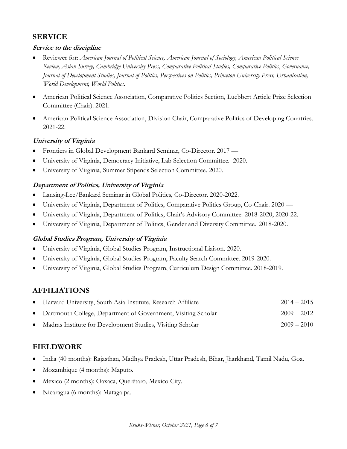### **SERVICE**

#### **Service to the discipline**

- Reviewer for: *American Journal of Political Science, American Journal of Sociology, American Political Science Review, Asian Survey, Cambridge University Press, Comparative Political Studies, Comparative Politics*, *Governance, Journal of Development Studies, Journal of Politics, Perspectives on Politics, Princeton University Press, Urbanisation, World Development, World Politics.*
- American Political Science Association, Comparative Politics Section, Luebbert Article Prize Selection Committee (Chair). 2021.
- American Political Science Association, Division Chair, Comparative Politics of Developing Countries. 2021-22.

#### **University of Virginia**

- Frontiers in Global Development Bankard Seminar, Co-Director. 2017 —
- University of Virginia, Democracy Initiative, Lab Selection Committee. 2020.
- University of Virginia, Summer Stipends Selection Committee. 2020.

#### **Department of Politics, University of Virginia**

- Lansing-Lee/Bankard Seminar in Global Politics, Co-Director. 2020-2022.
- University of Virginia, Department of Politics, Comparative Politics Group, Co-Chair. 2020 —
- University of Virginia, Department of Politics, Chair's Advisory Committee. 2018-2020, 2020-22.
- University of Virginia, Department of Politics, Gender and Diversity Committee. 2018-2020.

#### **Global Studies Program, University of Virginia**

- University of Virginia, Global Studies Program, Instructional Liaison. 2020.
- University of Virginia, Global Studies Program, Faculty Search Committee. 2019-2020.
- University of Virginia, Global Studies Program, Curriculum Design Committee. 2018-2019.

### **AFFILIATIONS**

| • Harvard University, South Asia Institute, Research Affiliate  | $2014 - 2015$ |  |
|-----------------------------------------------------------------|---------------|--|
| • Dartmouth College, Department of Government, Visiting Scholar | $2009 - 2012$ |  |
| Madras Institute for Development Studies, Visiting Scholar      | $2009 - 2010$ |  |

# **FIELDWORK**

- India (40 months): Rajasthan, Madhya Pradesh, Uttar Pradesh, Bihar, Jharkhand, Tamil Nadu, Goa.
- Mozambique (4 months): Maputo.
- Mexico (2 months): Oaxaca, Querétaro, Mexico City.
- Nicaragua (6 months): Matagalpa.